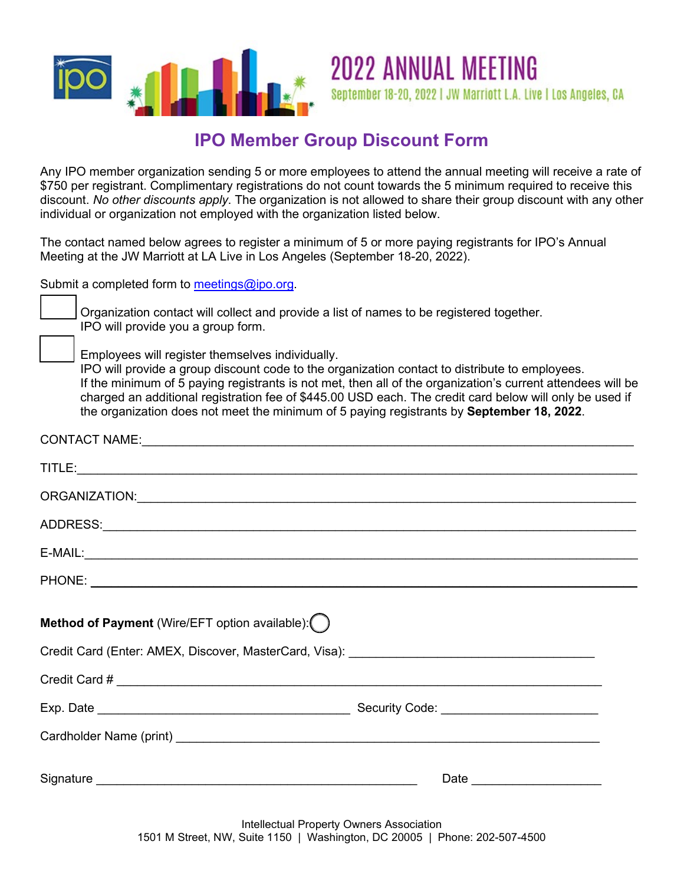

## **IPO Member Group Discount Form**

**2022 ANNUAL MEETING** 

September 18-20, 2022 | JW Marriott L.A. Live | Los Angeles, CA

Any IPO member organization sending 5 or more employees to attend the annual meeting will receive a rate of \$750 per registrant. Complimentary registrations do not count towards the 5 minimum required to receive this discount. *No other discounts apply*. The organization is not allowed to share their group discount with any other individual or organization not employed with the organization listed below.

The contact named below agrees to register a minimum of 5 or more paying registrants for IPO's Annual Meeting at the JW Marriott at LA Live in Los Angeles (September 18-20, 2022).

Submit a completed form to [meetings@ipo.org.](mailto:meetings@ipo.org)

Organization contact will collect and provide a list of names to be registered together. IPO will provide you a group form.

Employees will register themselves individually.

IPO will provide a group discount code to the organization contact to distribute to employees. If the minimum of 5 paying registrants is not met, then all of the organization's current attendees will be charged an additional registration fee of \$445.00 USD each. The credit card below will only be used if the organization does not meet the minimum of 5 paying registrants by **September 18, 2022**.

| $E-MAIL:$                                                                                                                                                                                                                            |  |
|--------------------------------------------------------------------------------------------------------------------------------------------------------------------------------------------------------------------------------------|--|
|                                                                                                                                                                                                                                      |  |
| Method of Payment (Wire/EFT option available): ()                                                                                                                                                                                    |  |
|                                                                                                                                                                                                                                      |  |
|                                                                                                                                                                                                                                      |  |
|                                                                                                                                                                                                                                      |  |
| Cardholder Name (print) <b>contract to the contract of the contract of the contract of the contract of the contract of the contract of the contract of the contract of the contract of the contract of the contract of the contr</b> |  |
|                                                                                                                                                                                                                                      |  |

Intellectual Property Owners Association 1501 M Street, NW, Suite 1150 | Washington, DC 20005 | Phone: 202-507-4500